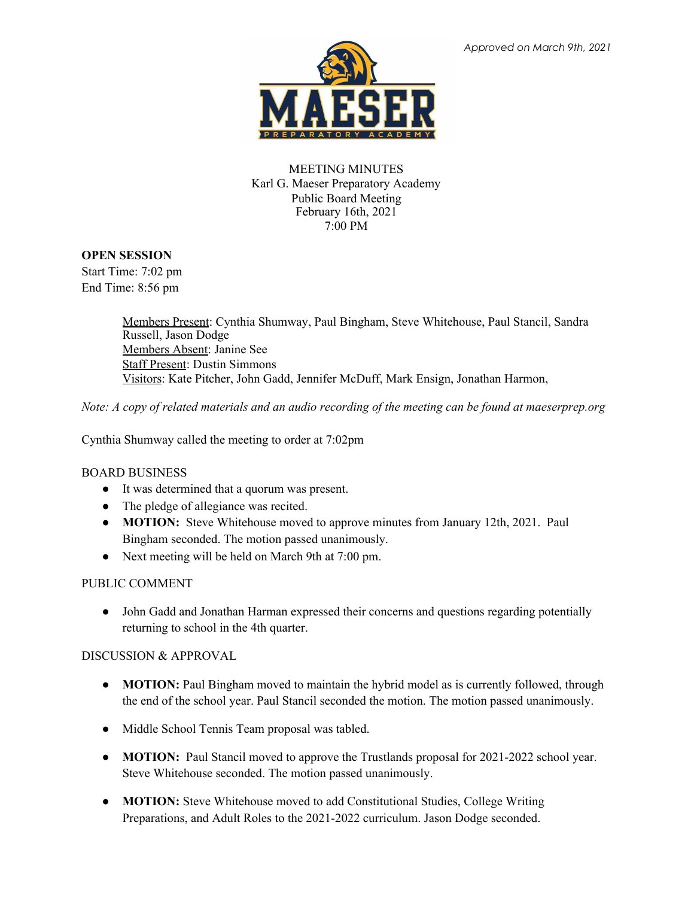

MEETING MINUTES Karl G. Maeser Preparatory Academy Public Board Meeting February 16th, 2021 7:00 PM

## **OPEN SESSION**

Start Time: 7:02 pm End Time: 8:56 pm

> Members Present: Cynthia Shumway, Paul Bingham, Steve Whitehouse, Paul Stancil, Sandra Russell, Jason Dodge Members Absent: Janine See Staff Present: Dustin Simmons Visitors: Kate Pitcher, John Gadd, Jennifer McDuff, Mark Ensign, Jonathan Harmon,

Note: A copy of related materials and an audio recording of the meeting can be found at maeserprep.org

Cynthia Shumway called the meeting to order at 7:02pm

## BOARD BUSINESS

- It was determined that a quorum was present.
- The pledge of allegiance was recited.
- **MOTION:** Steve Whitehouse moved to approve minutes from January 12th, 2021. Paul Bingham seconded. The motion passed unanimously.
- Next meeting will be held on March 9th at 7:00 pm.

## PUBLIC COMMENT

● John Gadd and Jonathan Harman expressed their concerns and questions regarding potentially returning to school in the 4th quarter.

## DISCUSSION & APPROVAL

- **MOTION:** Paul Bingham moved to maintain the hybrid model as is currently followed, through the end of the school year. Paul Stancil seconded the motion. The motion passed unanimously.
- Middle School Tennis Team proposal was tabled.
- **MOTION:** Paul Stancil moved to approve the Trustlands proposal for 2021-2022 school year. Steve Whitehouse seconded. The motion passed unanimously.
- **MOTION:** Steve Whitehouse moved to add Constitutional Studies, College Writing Preparations, and Adult Roles to the 2021-2022 curriculum. Jason Dodge seconded.